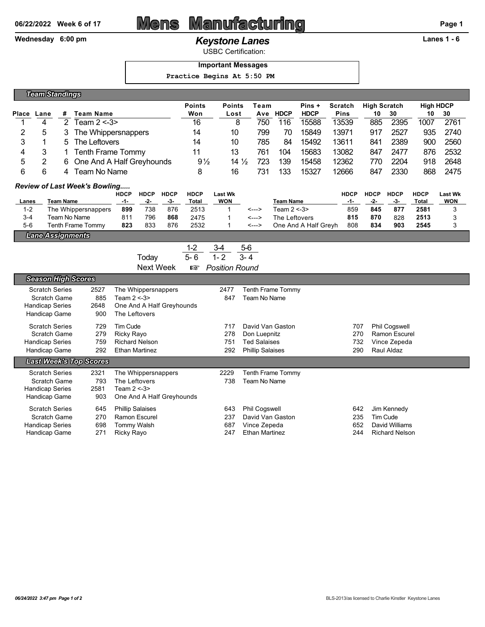# 06/22/2022 Week 6 of 17 **Mens Manufacturing Page 1** Page 1

### Wednesday 6:00 pm *Keystone Lanes* **Lanes 1 - 6**

USBC Certification:

### **Important Messages**

 **Practice Begins At 5:50 PM**

| <b>Team Standings</b>                                       |                                         |                  |                                   |      |                           |             |                |                 |                       |                         |     |                   |                      |                     |             |                      |              |                |  |
|-------------------------------------------------------------|-----------------------------------------|------------------|-----------------------------------|------|---------------------------|-------------|----------------|-----------------|-----------------------|-------------------------|-----|-------------------|----------------------|---------------------|-------------|----------------------|--------------|----------------|--|
|                                                             |                                         |                  |                                   |      |                           |             | <b>Points</b>  | <b>Points</b>   |                       | Team                    |     | Pins +            | <b>Scratch</b>       | <b>High Scratch</b> |             | <b>High HDCP</b>     |              |                |  |
| Place                                                       | Lane                                    | #                | <b>Team Name</b>                  |      |                           |             |                | Won             | Lost                  |                         | Ave | <b>HDCP</b>       | <b>HDCP</b>          | <b>Pins</b>         | 10          | 30                   | 10           | 30             |  |
| 1                                                           | 4                                       | $\overline{2}$   | Team $2 < -3$                     |      |                           |             |                | 16              | 8                     |                         | 750 | 116               | 15588                | 13539               | 885         | 2395                 | 1007         | 2761           |  |
|                                                             | 2<br>5<br>3<br>The Whippersnappers      |                  |                                   |      |                           |             |                | 14              | 10                    |                         | 799 | 70                | 15849                | 13971               | 917         | 2527                 | 935          | 2740           |  |
| 3                                                           | 1<br>5<br>The Leftovers                 |                  |                                   |      |                           |             |                | 14              | 10                    |                         | 785 | 84                | 15492                | 13611               | 841         | 2389                 | 900          | 2560           |  |
|                                                             | 4<br>3<br><b>Tenth Frame Tommy</b><br>1 |                  |                                   |      |                           |             |                |                 | 13                    |                         | 761 | 104               | 15683                | 13082               | 847         | 2477                 | 876          | 2532           |  |
| $\overline{2}$<br>5<br>One And A Half Greyhounds<br>6       |                                         |                  |                                   |      |                           |             | $9\frac{1}{2}$ | $14\frac{1}{2}$ |                       | 723                     | 139 | 15458             | 12362                | 770                 | 2204        | 918                  | 2648         |                |  |
| 6<br>6<br>Team No Name<br>4                                 |                                         |                  |                                   |      |                           |             | 8              | 16              |                       | 731                     | 133 | 15327             | 12666                | 847                 | 2330        | 868                  | 2475         |                |  |
|                                                             | <b>Review of Last Week's Bowling</b>    |                  |                                   |      |                           |             |                |                 |                       |                         |     |                   |                      |                     |             |                      |              |                |  |
|                                                             |                                         |                  |                                   |      | <b>HDCP</b>               | <b>HDCP</b> | <b>HDCP</b>    | <b>HDCP</b>     | <b>Last Wk</b>        |                         |     |                   |                      | <b>HDCP</b>         | <b>HDCP</b> | <b>HDCP</b>          | <b>HDCP</b>  | <b>Last Wk</b> |  |
| Lanes                                                       |                                         | <b>Team Name</b> |                                   |      | -1-                       | $-2-$       | $-3-$          | Total           | <b>WON</b>            |                         |     | <b>Team Name</b>  |                      | -1-                 | -2-         | -3-                  | Total        | <b>WON</b>     |  |
| $1 - 2$                                                     |                                         |                  | The Whippersnappers               |      | 899                       | 738         | 876            | 2513            | 1                     | <--->                   |     | Team $2 < -3$     |                      | 859                 | 845         | 877                  | 2581         | 3              |  |
| $3 - 4$<br>$5-6$                                            |                                         |                  | Team No Name<br>Tenth Frame Tommy |      | 811<br>823                | 796<br>833  | 868<br>876     | 2475<br>2532    | 1<br>1                | <---><br><--->          |     | The Leftovers     | One And A Half Greyh | 815<br>808          | 870<br>834  | 828<br>903           | 2513<br>2545 | 3<br>3         |  |
|                                                             | <b>Lane Assignments</b>                 |                  |                                   |      |                           |             |                |                 |                       |                         |     |                   |                      |                     |             |                      |              |                |  |
|                                                             |                                         |                  |                                   |      |                           |             |                | $1 - 2$         | $3-4$                 | $5-6$                   |     |                   |                      |                     |             |                      |              |                |  |
|                                                             |                                         |                  |                                   |      |                           |             |                | $5 - 6$         | $1 - 2$               | $3 - 4$                 |     |                   |                      |                     |             |                      |              |                |  |
| Today<br><b>Next Week</b>                                   |                                         |                  |                                   |      |                           |             |                |                 |                       |                         |     |                   |                      |                     |             |                      |              |                |  |
|                                                             |                                         |                  |                                   |      |                           |             |                | 隐               | <b>Position Round</b> |                         |     |                   |                      |                     |             |                      |              |                |  |
|                                                             |                                         |                  | <b>Season High Scores</b>         |      |                           |             |                |                 |                       |                         |     |                   |                      |                     |             |                      |              |                |  |
|                                                             | <b>Scratch Series</b>                   |                  |                                   | 2527 | The Whippersnappers       |             |                |                 | 2477                  |                         |     | Tenth Frame Tommy |                      |                     |             |                      |              |                |  |
|                                                             | Scratch Game                            |                  |                                   | 885  | Team $2 < -3$             |             |                |                 | 847                   | Team No Name            |     |                   |                      |                     |             |                      |              |                |  |
| 2648<br><b>Handicap Series</b><br>One And A Half Greyhounds |                                         |                  |                                   |      |                           |             |                |                 |                       |                         |     |                   |                      |                     |             |                      |              |                |  |
|                                                             | Handicap Game                           |                  |                                   | 900  | The Leftovers             |             |                |                 |                       |                         |     |                   |                      |                     |             |                      |              |                |  |
|                                                             | <b>Scratch Series</b>                   |                  |                                   | 729  | Tim Cude                  |             |                |                 | 717                   |                         |     | David Van Gaston  |                      | 707                 |             | Phil Cogswell        |              |                |  |
|                                                             | <b>Scratch Game</b>                     |                  |                                   | 279  | Ricky Rayo                |             |                |                 | 278                   | Don Luepnitz            |     |                   |                      | 270                 |             | <b>Ramon Escurel</b> |              |                |  |
|                                                             | <b>Handicap Series</b>                  |                  |                                   | 759  | <b>Richard Nelson</b>     |             |                |                 | 751                   | <b>Ted Salaises</b>     |     |                   |                      | 732                 |             | Vince Zepeda         |              |                |  |
|                                                             | Handicap Game                           |                  |                                   | 292  | <b>Ethan Martinez</b>     |             |                |                 | 292                   | <b>Phillip Salaises</b> |     |                   |                      | 290                 |             | Raul Aldaz           |              |                |  |
|                                                             |                                         |                  | <b>Last Week's Top Scores</b>     |      |                           |             |                |                 |                       |                         |     |                   |                      |                     |             |                      |              |                |  |
|                                                             | <b>Scratch Series</b>                   |                  |                                   | 2321 | The Whippersnappers       |             |                |                 | 2229                  |                         |     | Tenth Frame Tommy |                      |                     |             |                      |              |                |  |
|                                                             | Scratch Game                            |                  |                                   | 793  | The Leftovers             |             |                |                 | 738                   | Team No Name            |     |                   |                      |                     |             |                      |              |                |  |
|                                                             | <b>Handicap Series</b>                  |                  |                                   | 2581 | Team $2 < -3$             |             |                |                 |                       |                         |     |                   |                      |                     |             |                      |              |                |  |
|                                                             | Handicap Game                           |                  |                                   | 903  | One And A Half Greyhounds |             |                |                 |                       |                         |     |                   |                      |                     |             |                      |              |                |  |
|                                                             | <b>Scratch Series</b>                   |                  |                                   | 645  | <b>Phillip Salaises</b>   |             |                |                 | 643                   | Phil Cogswell           |     |                   |                      | 642                 |             | Jim Kennedy          |              |                |  |
|                                                             | <b>Scratch Game</b>                     |                  |                                   | 270  | <b>Ramon Escurel</b>      |             |                |                 | 237                   |                         |     | David Van Gaston  |                      | 235                 |             | Tim Cude             |              |                |  |
|                                                             | <b>Handicap Series</b>                  |                  |                                   | 698  | <b>Tommy Walsh</b>        |             |                |                 | 687                   | Vince Zepeda            |     |                   |                      | 652                 |             | David Williams       |              |                |  |

Handicap Series 698 Tommy Walsh 687 Vince Zepeda

Handicap Game 271 Ricky Rayo 247 Ethan Martinez 244 Richard Nelson